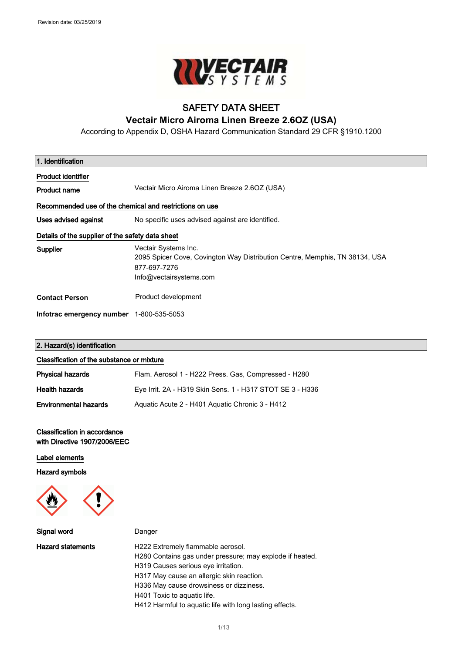$\overline{\phantom{a}}$ 



# SAFETY DATA SHEET

### **Vectair Micro Airoma Linen Breeze 2.6OZ (USA)**

According to Appendix D, OSHA Hazard Communication Standard 29 CFR §1910.1200

 $\mathcal{L}_{\mathcal{A}}$ 

| 1. Identification                                       |                                                                                                                                                |  |
|---------------------------------------------------------|------------------------------------------------------------------------------------------------------------------------------------------------|--|
| <b>Product identifier</b>                               |                                                                                                                                                |  |
| <b>Product name</b>                                     | Vectair Micro Airoma Linen Breeze 2.60Z (USA)                                                                                                  |  |
| Recommended use of the chemical and restrictions on use |                                                                                                                                                |  |
| Uses advised against                                    | No specific uses advised against are identified.                                                                                               |  |
| Details of the supplier of the safety data sheet        |                                                                                                                                                |  |
| Supplier                                                | Vectair Systems Inc.<br>2095 Spicer Cove, Covington Way Distribution Centre, Memphis, TN 38134, USA<br>877-697-7276<br>Info@vectairsystems.com |  |
| <b>Contact Person</b>                                   | Product development                                                                                                                            |  |
| Infotrac emergency number 1-800-535-5053                |                                                                                                                                                |  |

### 2. Hazard(s) identification

#### Classification of the substance or mixture

| <b>Physical hazards</b>      | Flam. Aerosol 1 - H222 Press. Gas, Compressed - H280      |
|------------------------------|-----------------------------------------------------------|
| <b>Health hazards</b>        | Eye Irrit. 2A - H319 Skin Sens. 1 - H317 STOT SE 3 - H336 |
| <b>Environmental hazards</b> | Aguatic Acute 2 - H401 Aguatic Chronic 3 - H412           |

#### Classification in accordance with Directive 1907/2006/EEC

#### Label elements

Hazard symbols



| Signal word              | Danger                                                                                                                                                                                                                                                                                                                 |
|--------------------------|------------------------------------------------------------------------------------------------------------------------------------------------------------------------------------------------------------------------------------------------------------------------------------------------------------------------|
| <b>Hazard statements</b> | H222 Extremely flammable aerosol.<br>H280 Contains gas under pressure; may explode if heated.<br>H319 Causes serious eye irritation.<br>H317 May cause an allergic skin reaction.<br>H336 May cause drowsiness or dizziness.<br>H401 Toxic to aguatic life.<br>H412 Harmful to aquatic life with long lasting effects. |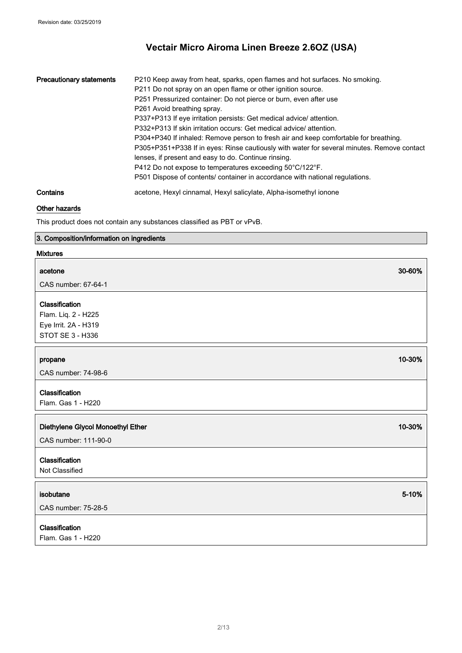п

| <b>Precautionary statements</b> | P210 Keep away from heat, sparks, open flames and hot surfaces. No smoking.<br>P211 Do not spray on an open flame or other ignition source. |
|---------------------------------|---------------------------------------------------------------------------------------------------------------------------------------------|
|                                 | P251 Pressurized container: Do not pierce or burn, even after use                                                                           |
|                                 | P261 Avoid breathing spray.                                                                                                                 |
|                                 | P337+P313 If eye irritation persists: Get medical advice/attention.                                                                         |
|                                 | P332+P313 If skin irritation occurs: Get medical advice/ attention.                                                                         |
|                                 | P304+P340 If inhaled: Remove person to fresh air and keep comfortable for breathing.                                                        |
|                                 | P305+P351+P338 If in eyes: Rinse cautiously with water for several minutes. Remove contact                                                  |
|                                 | lenses, if present and easy to do. Continue rinsing.                                                                                        |
|                                 | P412 Do not expose to temperatures exceeding 50°C/122°F.                                                                                    |
|                                 | P501 Dispose of contents/ container in accordance with national regulations.                                                                |
| Contains                        | acetone, Hexyl cinnamal, Hexyl salicylate, Alpha-isomethyl ionone                                                                           |

### Other hazards

This product does not contain any substances classified as PBT or vPvB.

### 3. Composition/information on ingredients

#### Mixtures

| acetone                                                                           | 30-60% |
|-----------------------------------------------------------------------------------|--------|
| CAS number: 67-64-1                                                               |        |
| Classification<br>Flam. Liq. 2 - H225<br>Eye Irrit. 2A - H319<br>STOT SE 3 - H336 |        |
| propane<br>CAS number: 74-98-6                                                    | 10-30% |
| Classification<br>Flam. Gas 1 - H220                                              |        |
| Diethylene Glycol Monoethyl Ether<br>CAS number: 111-90-0                         | 10-30% |
| Classification<br>Not Classified                                                  |        |
| isobutane<br>CAS number: 75-28-5                                                  | 5-10%  |
| Classification<br>Flam. Gas 1 - H220                                              |        |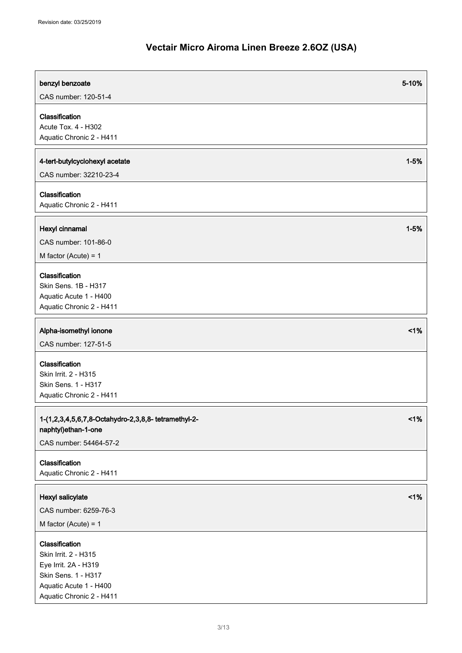| benzyl benzoate                                                                                                                             | 5-10%    |
|---------------------------------------------------------------------------------------------------------------------------------------------|----------|
| CAS number: 120-51-4                                                                                                                        |          |
| Classification<br>Acute Tox. 4 - H302<br>Aquatic Chronic 2 - H411                                                                           |          |
| 4-tert-butylcyclohexyl acetate<br>CAS number: 32210-23-4                                                                                    | $1 - 5%$ |
| Classification<br>Aquatic Chronic 2 - H411                                                                                                  |          |
| Hexyl cinnamal<br>CAS number: 101-86-0<br>M factor (Acute) = $1$                                                                            | $1 - 5%$ |
| Classification<br>Skin Sens. 1B - H317<br>Aquatic Acute 1 - H400<br>Aquatic Chronic 2 - H411                                                |          |
| Alpha-isomethyl ionone<br>CAS number: 127-51-5                                                                                              | $<$ 1%   |
| Classification<br>Skin Irrit. 2 - H315<br>Skin Sens. 1 - H317<br>Aquatic Chronic 2 - H411                                                   |          |
| 1-(1,2,3,4,5,6,7,8-Octahydro-2,3,8,8- tetramethyl-2-<br>naphtyl)ethan-1-one<br>CAS number: 54464-57-2                                       | 1%       |
| Classification<br>Aquatic Chronic 2 - H411                                                                                                  |          |
| Hexyl salicylate<br>CAS number: 6259-76-3<br>M factor (Acute) = $1$                                                                         | 1%       |
| Classification<br>Skin Irrit. 2 - H315<br>Eye Irrit. 2A - H319<br>Skin Sens. 1 - H317<br>Aquatic Acute 1 - H400<br>Aquatic Chronic 2 - H411 |          |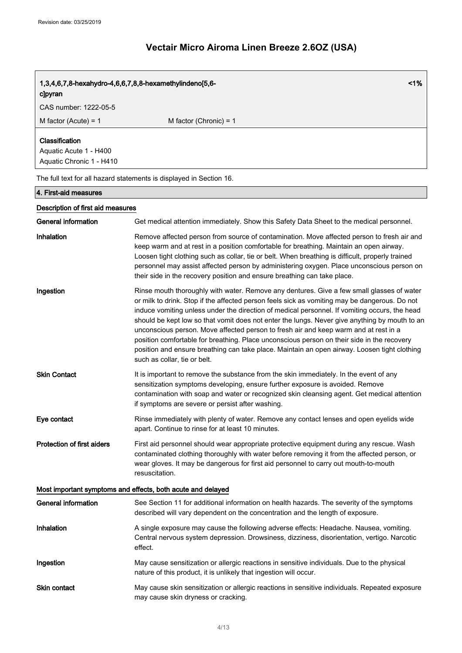| 1%<br>1,3,4,6,7,8-hexahydro-4,6,6,7,8,8-hexamethylindeno[5,6-<br>cloyran |                                                                                                                                                                                                                                                                                                                                                                                                                                                                                                                                                                                                                                                                                                                    |  |
|--------------------------------------------------------------------------|--------------------------------------------------------------------------------------------------------------------------------------------------------------------------------------------------------------------------------------------------------------------------------------------------------------------------------------------------------------------------------------------------------------------------------------------------------------------------------------------------------------------------------------------------------------------------------------------------------------------------------------------------------------------------------------------------------------------|--|
| CAS number: 1222-05-5                                                    |                                                                                                                                                                                                                                                                                                                                                                                                                                                                                                                                                                                                                                                                                                                    |  |
| M factor (Acute) = $1$                                                   | M factor (Chronic) = $1$                                                                                                                                                                                                                                                                                                                                                                                                                                                                                                                                                                                                                                                                                           |  |
| Classification<br>Aquatic Acute 1 - H400<br>Aquatic Chronic 1 - H410     |                                                                                                                                                                                                                                                                                                                                                                                                                                                                                                                                                                                                                                                                                                                    |  |
|                                                                          | The full text for all hazard statements is displayed in Section 16.                                                                                                                                                                                                                                                                                                                                                                                                                                                                                                                                                                                                                                                |  |
| 4. First-aid measures                                                    |                                                                                                                                                                                                                                                                                                                                                                                                                                                                                                                                                                                                                                                                                                                    |  |
| Description of first aid measures                                        |                                                                                                                                                                                                                                                                                                                                                                                                                                                                                                                                                                                                                                                                                                                    |  |
| <b>General information</b>                                               | Get medical attention immediately. Show this Safety Data Sheet to the medical personnel.                                                                                                                                                                                                                                                                                                                                                                                                                                                                                                                                                                                                                           |  |
| Inhalation                                                               | Remove affected person from source of contamination. Move affected person to fresh air and<br>keep warm and at rest in a position comfortable for breathing. Maintain an open airway.<br>Loosen tight clothing such as collar, tie or belt. When breathing is difficult, properly trained<br>personnel may assist affected person by administering oxygen. Place unconscious person on<br>their side in the recovery position and ensure breathing can take place.                                                                                                                                                                                                                                                 |  |
| Ingestion                                                                | Rinse mouth thoroughly with water. Remove any dentures. Give a few small glasses of water<br>or milk to drink. Stop if the affected person feels sick as vomiting may be dangerous. Do not<br>induce vomiting unless under the direction of medical personnel. If vomiting occurs, the head<br>should be kept low so that vomit does not enter the lungs. Never give anything by mouth to an<br>unconscious person. Move affected person to fresh air and keep warm and at rest in a<br>position comfortable for breathing. Place unconscious person on their side in the recovery<br>position and ensure breathing can take place. Maintain an open airway. Loosen tight clothing<br>such as collar, tie or belt. |  |
| <b>Skin Contact</b>                                                      | It is important to remove the substance from the skin immediately. In the event of any<br>sensitization symptoms developing, ensure further exposure is avoided. Remove<br>contamination with soap and water or recognized skin cleansing agent. Get medical attention<br>if symptoms are severe or persist after washing.                                                                                                                                                                                                                                                                                                                                                                                         |  |
| Eye contact                                                              | Rinse immediately with plenty of water. Remove any contact lenses and open eyelids wide<br>apart. Continue to rinse for at least 10 minutes.                                                                                                                                                                                                                                                                                                                                                                                                                                                                                                                                                                       |  |
| <b>Protection of first aiders</b>                                        | First aid personnel should wear appropriate protective equipment during any rescue. Wash<br>contaminated clothing thoroughly with water before removing it from the affected person, or<br>wear gloves. It may be dangerous for first aid personnel to carry out mouth-to-mouth<br>resuscitation.                                                                                                                                                                                                                                                                                                                                                                                                                  |  |
| Most important symptoms and effects, both acute and delayed              |                                                                                                                                                                                                                                                                                                                                                                                                                                                                                                                                                                                                                                                                                                                    |  |
| <b>General information</b>                                               | See Section 11 for additional information on health hazards. The severity of the symptoms<br>described will vary dependent on the concentration and the length of exposure.                                                                                                                                                                                                                                                                                                                                                                                                                                                                                                                                        |  |
| Inhalation                                                               | A single exposure may cause the following adverse effects: Headache. Nausea, vomiting.<br>Central nervous system depression. Drowsiness, dizziness, disorientation, vertigo. Narcotic<br>effect.                                                                                                                                                                                                                                                                                                                                                                                                                                                                                                                   |  |
| Ingestion                                                                | May cause sensitization or allergic reactions in sensitive individuals. Due to the physical<br>nature of this product, it is unlikely that ingestion will occur.                                                                                                                                                                                                                                                                                                                                                                                                                                                                                                                                                   |  |
| Skin contact                                                             | May cause skin sensitization or allergic reactions in sensitive individuals. Repeated exposure<br>may cause skin dryness or cracking.                                                                                                                                                                                                                                                                                                                                                                                                                                                                                                                                                                              |  |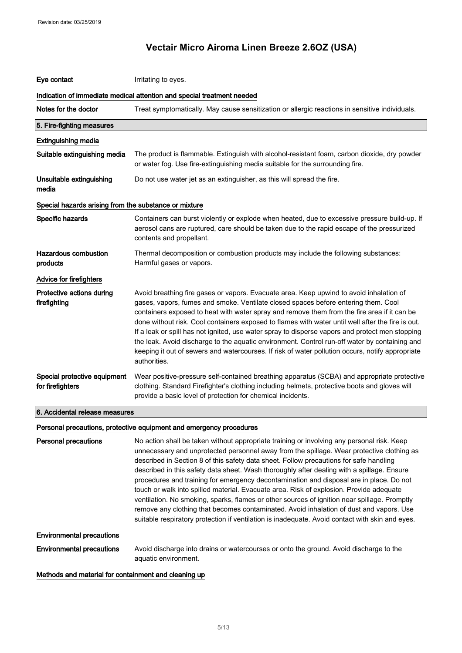| Eye contact                                                            | Irritating to eyes.                                                                                                                                                                                                                                                                                                                                                                                                                                                                                                                                                                                                                                                                                       |  |
|------------------------------------------------------------------------|-----------------------------------------------------------------------------------------------------------------------------------------------------------------------------------------------------------------------------------------------------------------------------------------------------------------------------------------------------------------------------------------------------------------------------------------------------------------------------------------------------------------------------------------------------------------------------------------------------------------------------------------------------------------------------------------------------------|--|
| Indication of immediate medical attention and special treatment needed |                                                                                                                                                                                                                                                                                                                                                                                                                                                                                                                                                                                                                                                                                                           |  |
| Notes for the doctor                                                   | Treat symptomatically. May cause sensitization or allergic reactions in sensitive individuals.                                                                                                                                                                                                                                                                                                                                                                                                                                                                                                                                                                                                            |  |
| 5. Fire-fighting measures                                              |                                                                                                                                                                                                                                                                                                                                                                                                                                                                                                                                                                                                                                                                                                           |  |
| <b>Extinguishing media</b>                                             |                                                                                                                                                                                                                                                                                                                                                                                                                                                                                                                                                                                                                                                                                                           |  |
| Suitable extinguishing media                                           | The product is flammable. Extinguish with alcohol-resistant foam, carbon dioxide, dry powder<br>or water fog. Use fire-extinguishing media suitable for the surrounding fire.                                                                                                                                                                                                                                                                                                                                                                                                                                                                                                                             |  |
| Unsuitable extinguishing<br>media                                      | Do not use water jet as an extinguisher, as this will spread the fire.                                                                                                                                                                                                                                                                                                                                                                                                                                                                                                                                                                                                                                    |  |
| Special hazards arising from the substance or mixture                  |                                                                                                                                                                                                                                                                                                                                                                                                                                                                                                                                                                                                                                                                                                           |  |
| Specific hazards                                                       | Containers can burst violently or explode when heated, due to excessive pressure build-up. If<br>aerosol cans are ruptured, care should be taken due to the rapid escape of the pressurized<br>contents and propellant.                                                                                                                                                                                                                                                                                                                                                                                                                                                                                   |  |
| <b>Hazardous combustion</b><br>products                                | Thermal decomposition or combustion products may include the following substances:<br>Harmful gases or vapors.                                                                                                                                                                                                                                                                                                                                                                                                                                                                                                                                                                                            |  |
| Advice for firefighters                                                |                                                                                                                                                                                                                                                                                                                                                                                                                                                                                                                                                                                                                                                                                                           |  |
| Protective actions during<br>firefighting                              | Avoid breathing fire gases or vapors. Evacuate area. Keep upwind to avoid inhalation of<br>gases, vapors, fumes and smoke. Ventilate closed spaces before entering them. Cool<br>containers exposed to heat with water spray and remove them from the fire area if it can be<br>done without risk. Cool containers exposed to flames with water until well after the fire is out.<br>If a leak or spill has not ignited, use water spray to disperse vapors and protect men stopping<br>the leak. Avoid discharge to the aquatic environment. Control run-off water by containing and<br>keeping it out of sewers and watercourses. If risk of water pollution occurs, notify appropriate<br>authorities. |  |
| Special protective equipment<br>for firefighters                       | Wear positive-pressure self-contained breathing apparatus (SCBA) and appropriate protective<br>clothing. Standard Firefighter's clothing including helmets, protective boots and gloves will<br>provide a basic level of protection for chemical incidents.                                                                                                                                                                                                                                                                                                                                                                                                                                               |  |
| 6. Accidental release measures                                         |                                                                                                                                                                                                                                                                                                                                                                                                                                                                                                                                                                                                                                                                                                           |  |
|                                                                        | Personal precautions, protective equipment and emergency procedures                                                                                                                                                                                                                                                                                                                                                                                                                                                                                                                                                                                                                                       |  |

Personal precautions No action shall be taken without appropriate training or involving any personal risk. Keep unnecessary and unprotected personnel away from the spillage. Wear protective clothing as described in Section 8 of this safety data sheet. Follow precautions for safe handling described in this safety data sheet. Wash thoroughly after dealing with a spillage. Ensure procedures and training for emergency decontamination and disposal are in place. Do not touch or walk into spilled material. Evacuate area. Risk of explosion. Provide adequate ventilation. No smoking, sparks, flames or other sources of ignition near spillage. Promptly remove any clothing that becomes contaminated. Avoid inhalation of dust and vapors. Use suitable respiratory protection if ventilation is inadequate. Avoid contact with skin and eyes. Environmental precautions Environmental precautions Avoid discharge into drains or watercourses or onto the ground. Avoid discharge to the aquatic environment.

Methods and material for containment and cleaning up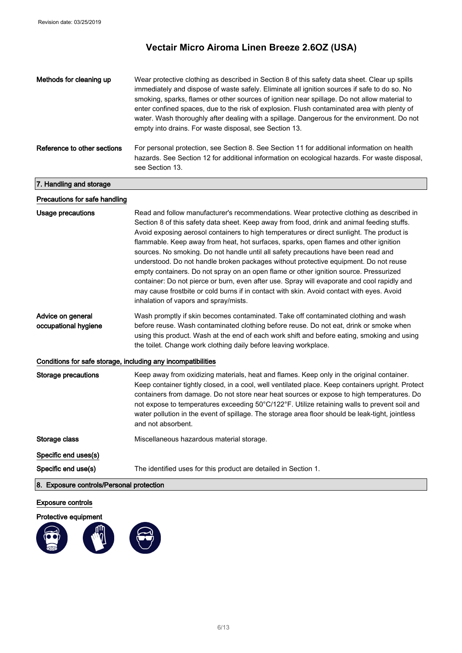| Methods for cleaning up                                      | Wear protective clothing as described in Section 8 of this safety data sheet. Clear up spills<br>immediately and dispose of waste safely. Eliminate all ignition sources if safe to do so. No<br>smoking, sparks, flames or other sources of ignition near spillage. Do not allow material to<br>enter confined spaces, due to the risk of explosion. Flush contaminated area with plenty of<br>water. Wash thoroughly after dealing with a spillage. Dangerous for the environment. Do not<br>empty into drains. For waste disposal, see Section 13.                                                                                                                                                                                                                                                                                                                                   |
|--------------------------------------------------------------|-----------------------------------------------------------------------------------------------------------------------------------------------------------------------------------------------------------------------------------------------------------------------------------------------------------------------------------------------------------------------------------------------------------------------------------------------------------------------------------------------------------------------------------------------------------------------------------------------------------------------------------------------------------------------------------------------------------------------------------------------------------------------------------------------------------------------------------------------------------------------------------------|
| Reference to other sections                                  | For personal protection, see Section 8. See Section 11 for additional information on health<br>hazards. See Section 12 for additional information on ecological hazards. For waste disposal,<br>see Section 13.                                                                                                                                                                                                                                                                                                                                                                                                                                                                                                                                                                                                                                                                         |
| 7. Handling and storage                                      |                                                                                                                                                                                                                                                                                                                                                                                                                                                                                                                                                                                                                                                                                                                                                                                                                                                                                         |
| Precautions for safe handling                                |                                                                                                                                                                                                                                                                                                                                                                                                                                                                                                                                                                                                                                                                                                                                                                                                                                                                                         |
| <b>Usage precautions</b>                                     | Read and follow manufacturer's recommendations. Wear protective clothing as described in<br>Section 8 of this safety data sheet. Keep away from food, drink and animal feeding stuffs.<br>Avoid exposing aerosol containers to high temperatures or direct sunlight. The product is<br>flammable. Keep away from heat, hot surfaces, sparks, open flames and other ignition<br>sources. No smoking. Do not handle until all safety precautions have been read and<br>understood. Do not handle broken packages without protective equipment. Do not reuse<br>empty containers. Do not spray on an open flame or other ignition source. Pressurized<br>container: Do not pierce or burn, even after use. Spray will evaporate and cool rapidly and<br>may cause frostbite or cold burns if in contact with skin. Avoid contact with eyes. Avoid<br>inhalation of vapors and spray/mists. |
| Advice on general<br>occupational hygiene                    | Wash promptly if skin becomes contaminated. Take off contaminated clothing and wash<br>before reuse. Wash contaminated clothing before reuse. Do not eat, drink or smoke when<br>using this product. Wash at the end of each work shift and before eating, smoking and using<br>the toilet. Change work clothing daily before leaving workplace.                                                                                                                                                                                                                                                                                                                                                                                                                                                                                                                                        |
| Conditions for safe storage, including any incompatibilities |                                                                                                                                                                                                                                                                                                                                                                                                                                                                                                                                                                                                                                                                                                                                                                                                                                                                                         |
| <b>Storage precautions</b>                                   | Keep away from oxidizing materials, heat and flames. Keep only in the original container.<br>Keep container tightly closed, in a cool, well ventilated place. Keep containers upright. Protect<br>containers from damage. Do not store near heat sources or expose to high temperatures. Do<br>not expose to temperatures exceeding 50°C/122°F. Utilize retaining walls to prevent soil and<br>water pollution in the event of spillage. The storage area floor should be leak-tight, jointless<br>and not absorbent.                                                                                                                                                                                                                                                                                                                                                                   |
| Storage class                                                | Miscellaneous hazardous material storage.                                                                                                                                                                                                                                                                                                                                                                                                                                                                                                                                                                                                                                                                                                                                                                                                                                               |
| Specific end uses(s)                                         |                                                                                                                                                                                                                                                                                                                                                                                                                                                                                                                                                                                                                                                                                                                                                                                                                                                                                         |
| Specific end use(s)                                          | The identified uses for this product are detailed in Section 1.                                                                                                                                                                                                                                                                                                                                                                                                                                                                                                                                                                                                                                                                                                                                                                                                                         |
| 8. Exposure controls/Personal protection                     |                                                                                                                                                                                                                                                                                                                                                                                                                                                                                                                                                                                                                                                                                                                                                                                                                                                                                         |

### Exposure controls

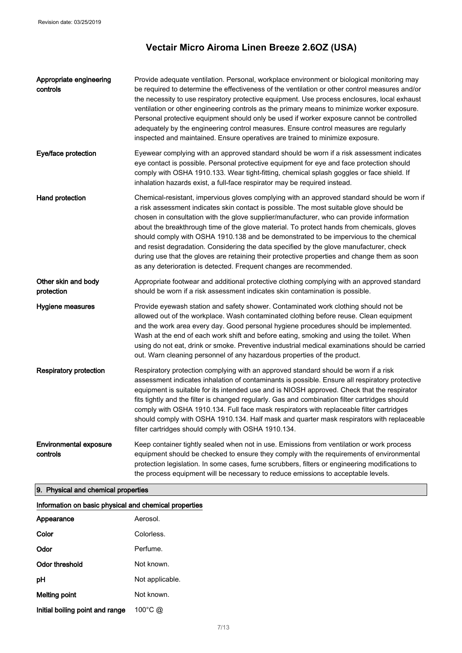| Appropriate engineering<br>controls       | Provide adequate ventilation. Personal, workplace environment or biological monitoring may<br>be required to determine the effectiveness of the ventilation or other control measures and/or<br>the necessity to use respiratory protective equipment. Use process enclosures, local exhaust<br>ventilation or other engineering controls as the primary means to minimize worker exposure.<br>Personal protective equipment should only be used if worker exposure cannot be controlled<br>adequately by the engineering control measures. Ensure control measures are regularly<br>inspected and maintained. Ensure operatives are trained to minimize exposure.                                                                          |
|-------------------------------------------|---------------------------------------------------------------------------------------------------------------------------------------------------------------------------------------------------------------------------------------------------------------------------------------------------------------------------------------------------------------------------------------------------------------------------------------------------------------------------------------------------------------------------------------------------------------------------------------------------------------------------------------------------------------------------------------------------------------------------------------------|
| Eye/face protection                       | Eyewear complying with an approved standard should be worn if a risk assessment indicates<br>eye contact is possible. Personal protective equipment for eye and face protection should<br>comply with OSHA 1910.133. Wear tight-fitting, chemical splash goggles or face shield. If<br>inhalation hazards exist, a full-face respirator may be required instead.                                                                                                                                                                                                                                                                                                                                                                            |
| Hand protection                           | Chemical-resistant, impervious gloves complying with an approved standard should be worn if<br>a risk assessment indicates skin contact is possible. The most suitable glove should be<br>chosen in consultation with the glove supplier/manufacturer, who can provide information<br>about the breakthrough time of the glove material. To protect hands from chemicals, gloves<br>should comply with OSHA 1910.138 and be demonstrated to be impervious to the chemical<br>and resist degradation. Considering the data specified by the glove manufacturer, check<br>during use that the gloves are retaining their protective properties and change them as soon<br>as any deterioration is detected. Frequent changes are recommended. |
| Other skin and body<br>protection         | Appropriate footwear and additional protective clothing complying with an approved standard<br>should be worn if a risk assessment indicates skin contamination is possible.                                                                                                                                                                                                                                                                                                                                                                                                                                                                                                                                                                |
| Hygiene measures                          | Provide eyewash station and safety shower. Contaminated work clothing should not be<br>allowed out of the workplace. Wash contaminated clothing before reuse. Clean equipment<br>and the work area every day. Good personal hygiene procedures should be implemented.<br>Wash at the end of each work shift and before eating, smoking and using the toilet. When<br>using do not eat, drink or smoke. Preventive industrial medical examinations should be carried<br>out. Warn cleaning personnel of any hazardous properties of the product.                                                                                                                                                                                             |
| <b>Respiratory protection</b>             | Respiratory protection complying with an approved standard should be worn if a risk<br>assessment indicates inhalation of contaminants is possible. Ensure all respiratory protective<br>equipment is suitable for its intended use and is NIOSH approved. Check that the respirator<br>fits tightly and the filter is changed regularly. Gas and combination filter cartridges should<br>comply with OSHA 1910.134. Full face mask respirators with replaceable filter cartridges<br>should comply with OSHA 1910.134. Half mask and quarter mask respirators with replaceable<br>filter cartridges should comply with OSHA 1910.134.                                                                                                      |
| <b>Environmental exposure</b><br>controls | Keep container tightly sealed when not in use. Emissions from ventilation or work process<br>equipment should be checked to ensure they comply with the requirements of environmental<br>protection legislation. In some cases, fume scrubbers, filters or engineering modifications to<br>the process equipment will be necessary to reduce emissions to acceptable levels.                                                                                                                                                                                                                                                                                                                                                                |

## 9. Physical and chemical properties

| Appearance                      | Aerosol.          |
|---------------------------------|-------------------|
| Color                           | Colorless         |
| Odor                            | Perfume.          |
| Odor threshold                  | Not known.        |
| рH                              | Not applicable.   |
| Melting point                   | Not known.        |
| Initial boiling point and range | $100^{\circ}$ C @ |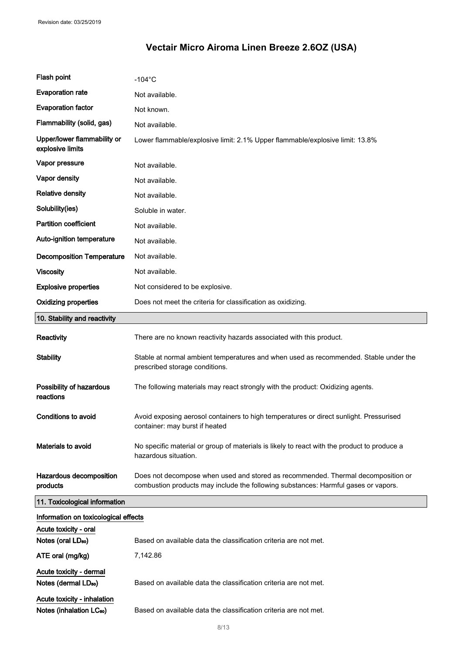| Flash point                                                         | $-104$ °C                                                                                                                                                              |  |
|---------------------------------------------------------------------|------------------------------------------------------------------------------------------------------------------------------------------------------------------------|--|
| <b>Evaporation rate</b>                                             | Not available.                                                                                                                                                         |  |
| <b>Evaporation factor</b>                                           | Not known.                                                                                                                                                             |  |
| Flammability (solid, gas)                                           | Not available.                                                                                                                                                         |  |
| Upper/lower flammability or<br>explosive limits                     | Lower flammable/explosive limit: 2.1% Upper flammable/explosive limit: 13.8%                                                                                           |  |
| Vapor pressure                                                      | Not available.                                                                                                                                                         |  |
| Vapor density                                                       | Not available.                                                                                                                                                         |  |
| <b>Relative density</b>                                             | Not available.                                                                                                                                                         |  |
| Solubility(ies)                                                     | Soluble in water.                                                                                                                                                      |  |
| <b>Partition coefficient</b>                                        | Not available.                                                                                                                                                         |  |
| Auto-ignition temperature                                           | Not available.                                                                                                                                                         |  |
| <b>Decomposition Temperature</b>                                    | Not available.                                                                                                                                                         |  |
| <b>Viscosity</b>                                                    | Not available.                                                                                                                                                         |  |
| <b>Explosive properties</b>                                         | Not considered to be explosive.                                                                                                                                        |  |
| <b>Oxidizing properties</b>                                         | Does not meet the criteria for classification as oxidizing.                                                                                                            |  |
| 10. Stability and reactivity                                        |                                                                                                                                                                        |  |
| Reactivity                                                          | There are no known reactivity hazards associated with this product.                                                                                                    |  |
| <b>Stability</b>                                                    | Stable at normal ambient temperatures and when used as recommended. Stable under the<br>prescribed storage conditions.                                                 |  |
| Possibility of hazardous<br>reactions                               | The following materials may react strongly with the product: Oxidizing agents.                                                                                         |  |
| <b>Conditions to avoid</b>                                          | Avoid exposing aerosol containers to high temperatures or direct sunlight. Pressurised<br>container: may burst if heated                                               |  |
| Materials to avoid                                                  | No specific material or group of materials is likely to react with the product to produce a<br>hazardous situation.                                                    |  |
| Hazardous decomposition<br>products                                 | Does not decompose when used and stored as recommended. Thermal decomposition or<br>combustion products may include the following substances: Harmful gases or vapors. |  |
| 11. Toxicological information                                       |                                                                                                                                                                        |  |
| Information on toxicological effects                                |                                                                                                                                                                        |  |
| Acute toxicity - oral<br>Notes (oral LD <sub>50</sub> )             | Based on available data the classification criteria are not met.                                                                                                       |  |
| ATE oral (mg/kg)                                                    | 7,142.86                                                                                                                                                               |  |
|                                                                     |                                                                                                                                                                        |  |
| Acute toxicity - dermal<br>Notes (dermal LD <sub>50</sub> )         | Based on available data the classification criteria are not met.                                                                                                       |  |
| Acute toxicity - inhalation<br>Notes (inhalation LC <sub>50</sub> ) | Based on available data the classification criteria are not met.                                                                                                       |  |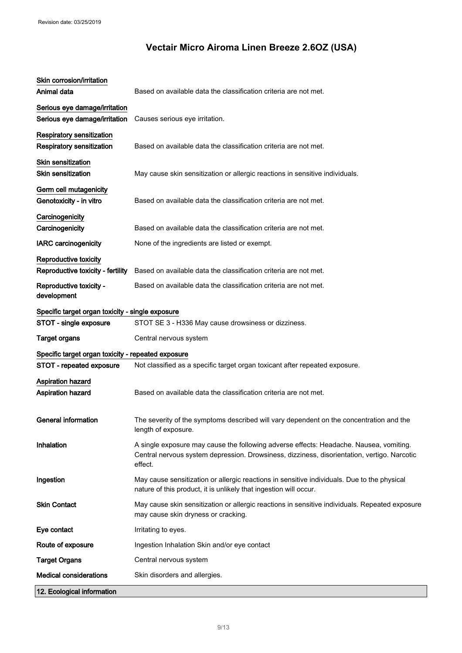| Skin corrosion/irritation<br>Animal data                             | Based on available data the classification criteria are not met.                                                                                                                                 |  |
|----------------------------------------------------------------------|--------------------------------------------------------------------------------------------------------------------------------------------------------------------------------------------------|--|
| Serious eye damage/irritation<br>Serious eye damage/irritation       | Causes serious eye irritation.                                                                                                                                                                   |  |
| <b>Respiratory sensitization</b><br><b>Respiratory sensitization</b> | Based on available data the classification criteria are not met.                                                                                                                                 |  |
| <b>Skin sensitization</b><br><b>Skin sensitization</b>               | May cause skin sensitization or allergic reactions in sensitive individuals.                                                                                                                     |  |
| Germ cell mutagenicity<br>Genotoxicity - in vitro                    | Based on available data the classification criteria are not met.                                                                                                                                 |  |
| Carcinogenicity<br>Carcinogenicity                                   | Based on available data the classification criteria are not met.                                                                                                                                 |  |
| <b>IARC</b> carcinogenicity                                          | None of the ingredients are listed or exempt.                                                                                                                                                    |  |
| Reproductive toxicity                                                |                                                                                                                                                                                                  |  |
| Reproductive toxicity - fertility                                    | Based on available data the classification criteria are not met.                                                                                                                                 |  |
| Reproductive toxicity -<br>development                               | Based on available data the classification criteria are not met.                                                                                                                                 |  |
| Specific target organ toxicity - single exposure                     |                                                                                                                                                                                                  |  |
| STOT - single exposure                                               | STOT SE 3 - H336 May cause drowsiness or dizziness.                                                                                                                                              |  |
| <b>Target organs</b>                                                 | Central nervous system                                                                                                                                                                           |  |
| Specific target organ toxicity - repeated exposure                   |                                                                                                                                                                                                  |  |
| STOT - repeated exposure                                             | Not classified as a specific target organ toxicant after repeated exposure.                                                                                                                      |  |
| Aspiration hazard<br>Aspiration hazard                               | Based on available data the classification criteria are not met.                                                                                                                                 |  |
| General information                                                  | The severity of the symptoms described will vary dependent on the concentration and the<br>length of exposure.                                                                                   |  |
| Inhalation                                                           | A single exposure may cause the following adverse effects: Headache. Nausea, vomiting.<br>Central nervous system depression. Drowsiness, dizziness, disorientation, vertigo. Narcotic<br>effect. |  |
| Ingestion                                                            | May cause sensitization or allergic reactions in sensitive individuals. Due to the physical<br>nature of this product, it is unlikely that ingestion will occur.                                 |  |
| <b>Skin Contact</b>                                                  | May cause skin sensitization or allergic reactions in sensitive individuals. Repeated exposure<br>may cause skin dryness or cracking.                                                            |  |
| Eye contact                                                          | Irritating to eyes.                                                                                                                                                                              |  |
| Route of exposure                                                    | Ingestion Inhalation Skin and/or eye contact                                                                                                                                                     |  |
| <b>Target Organs</b>                                                 | Central nervous system                                                                                                                                                                           |  |
| <b>Medical considerations</b>                                        | Skin disorders and allergies.                                                                                                                                                                    |  |
| 12. Ecological information                                           |                                                                                                                                                                                                  |  |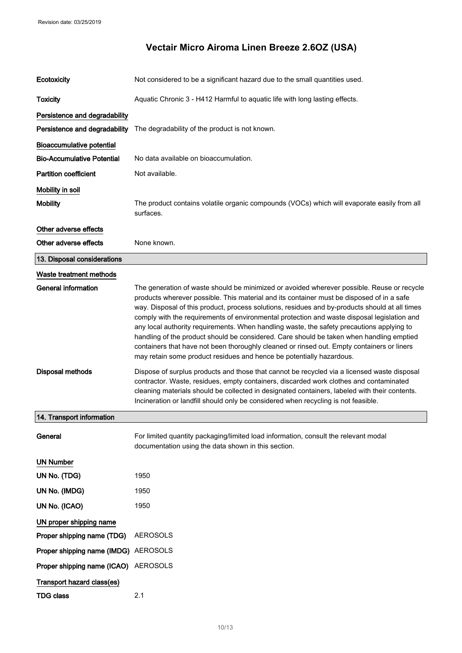| Ecotoxicity                          | Not considered to be a significant hazard due to the small quantities used.                                                                                                                                                                                                                                                                                                                                                                                                                                                                                                                                                                                                                                                                             |
|--------------------------------------|---------------------------------------------------------------------------------------------------------------------------------------------------------------------------------------------------------------------------------------------------------------------------------------------------------------------------------------------------------------------------------------------------------------------------------------------------------------------------------------------------------------------------------------------------------------------------------------------------------------------------------------------------------------------------------------------------------------------------------------------------------|
| <b>Toxicity</b>                      | Aquatic Chronic 3 - H412 Harmful to aquatic life with long lasting effects.                                                                                                                                                                                                                                                                                                                                                                                                                                                                                                                                                                                                                                                                             |
| Persistence and degradability        |                                                                                                                                                                                                                                                                                                                                                                                                                                                                                                                                                                                                                                                                                                                                                         |
| Persistence and degradability        | The degradability of the product is not known.                                                                                                                                                                                                                                                                                                                                                                                                                                                                                                                                                                                                                                                                                                          |
| <b>Bioaccumulative potential</b>     |                                                                                                                                                                                                                                                                                                                                                                                                                                                                                                                                                                                                                                                                                                                                                         |
| <b>Bio-Accumulative Potential</b>    | No data available on bioaccumulation.                                                                                                                                                                                                                                                                                                                                                                                                                                                                                                                                                                                                                                                                                                                   |
| <b>Partition coefficient</b>         | Not available.                                                                                                                                                                                                                                                                                                                                                                                                                                                                                                                                                                                                                                                                                                                                          |
| Mobility in soil                     |                                                                                                                                                                                                                                                                                                                                                                                                                                                                                                                                                                                                                                                                                                                                                         |
| <b>Mobility</b>                      | The product contains volatile organic compounds (VOCs) which will evaporate easily from all<br>surfaces.                                                                                                                                                                                                                                                                                                                                                                                                                                                                                                                                                                                                                                                |
| Other adverse effects                |                                                                                                                                                                                                                                                                                                                                                                                                                                                                                                                                                                                                                                                                                                                                                         |
| Other adverse effects                | None known.                                                                                                                                                                                                                                                                                                                                                                                                                                                                                                                                                                                                                                                                                                                                             |
| 13. Disposal considerations          |                                                                                                                                                                                                                                                                                                                                                                                                                                                                                                                                                                                                                                                                                                                                                         |
| Waste treatment methods              |                                                                                                                                                                                                                                                                                                                                                                                                                                                                                                                                                                                                                                                                                                                                                         |
| <b>General information</b>           | The generation of waste should be minimized or avoided wherever possible. Reuse or recycle<br>products wherever possible. This material and its container must be disposed of in a safe<br>way. Disposal of this product, process solutions, residues and by-products should at all times<br>comply with the requirements of environmental protection and waste disposal legislation and<br>any local authority requirements. When handling waste, the safety precautions applying to<br>handling of the product should be considered. Care should be taken when handling emptied<br>containers that have not been thoroughly cleaned or rinsed out. Empty containers or liners<br>may retain some product residues and hence be potentially hazardous. |
| <b>Disposal methods</b>              | Dispose of surplus products and those that cannot be recycled via a licensed waste disposal<br>contractor. Waste, residues, empty containers, discarded work clothes and contaminated<br>cleaning materials should be collected in designated containers, labeled with their contents.<br>Incineration or landfill should only be considered when recycling is not feasible.                                                                                                                                                                                                                                                                                                                                                                            |
| 14. Transport information            |                                                                                                                                                                                                                                                                                                                                                                                                                                                                                                                                                                                                                                                                                                                                                         |
| General                              | For limited quantity packaging/limited load information, consult the relevant modal<br>documentation using the data shown in this section.                                                                                                                                                                                                                                                                                                                                                                                                                                                                                                                                                                                                              |
| <b>UN Number</b>                     |                                                                                                                                                                                                                                                                                                                                                                                                                                                                                                                                                                                                                                                                                                                                                         |
| UN No. (TDG)                         | 1950                                                                                                                                                                                                                                                                                                                                                                                                                                                                                                                                                                                                                                                                                                                                                    |
| UN No. (IMDG)                        | 1950                                                                                                                                                                                                                                                                                                                                                                                                                                                                                                                                                                                                                                                                                                                                                    |
| UN No. (ICAO)                        | 1950                                                                                                                                                                                                                                                                                                                                                                                                                                                                                                                                                                                                                                                                                                                                                    |
| UN proper shipping name              |                                                                                                                                                                                                                                                                                                                                                                                                                                                                                                                                                                                                                                                                                                                                                         |
| Proper shipping name (TDG)           | <b>AEROSOLS</b>                                                                                                                                                                                                                                                                                                                                                                                                                                                                                                                                                                                                                                                                                                                                         |
| Proper shipping name (IMDG) AEROSOLS |                                                                                                                                                                                                                                                                                                                                                                                                                                                                                                                                                                                                                                                                                                                                                         |
| Proper shipping name (ICAO)          | <b>AEROSOLS</b>                                                                                                                                                                                                                                                                                                                                                                                                                                                                                                                                                                                                                                                                                                                                         |
| Transport hazard class(es)           |                                                                                                                                                                                                                                                                                                                                                                                                                                                                                                                                                                                                                                                                                                                                                         |
| <b>TDG class</b>                     | 2.1                                                                                                                                                                                                                                                                                                                                                                                                                                                                                                                                                                                                                                                                                                                                                     |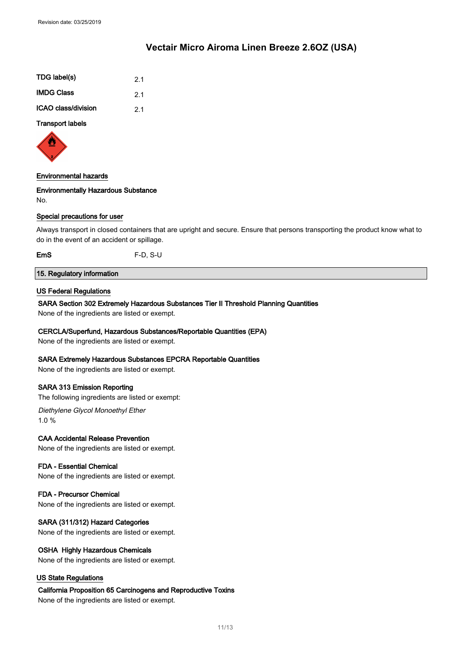| 2.1 |
|-----|
| 21  |
| 2.1 |
|     |

#### Transport labels



#### Environmental hazards

#### Environmentally Hazardous Substance

No.

#### Special precautions for user

Always transport in closed containers that are upright and secure. Ensure that persons transporting the product know what to do in the event of an accident or spillage.

EmS F-D, S-U

### 15. Regulatory information

#### US Federal Regulations

#### SARA Section 302 Extremely Hazardous Substances Tier II Threshold Planning Quantities

None of the ingredients are listed or exempt.

#### CERCLA/Superfund, Hazardous Substances/Reportable Quantities (EPA)

None of the ingredients are listed or exempt.

#### SARA Extremely Hazardous Substances EPCRA Reportable Quantities

None of the ingredients are listed or exempt.

#### SARA 313 Emission Reporting

The following ingredients are listed or exempt:

Diethylene Glycol Monoethyl Ether 1.0 %

#### CAA Accidental Release Prevention

None of the ingredients are listed or exempt.

#### FDA - Essential Chemical

None of the ingredients are listed or exempt.

#### FDA - Precursor Chemical

None of the ingredients are listed or exempt.

#### SARA (311/312) Hazard Categories

None of the ingredients are listed or exempt.

#### OSHA Highly Hazardous Chemicals

None of the ingredients are listed or exempt.

#### US State Regulations

#### California Proposition 65 Carcinogens and Reproductive Toxins

None of the ingredients are listed or exempt.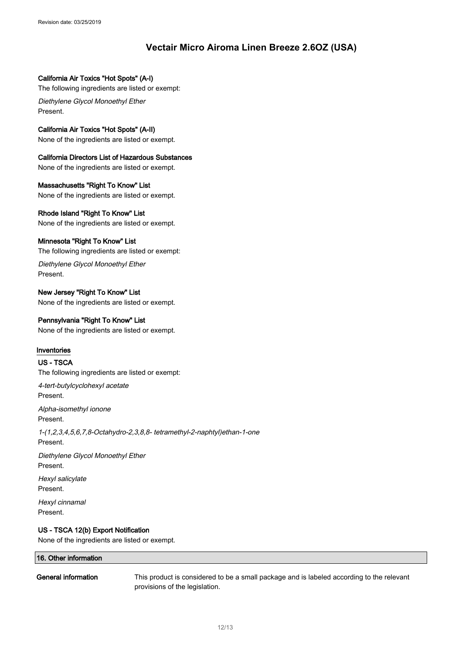#### California Air Toxics "Hot Spots" (A-I)

The following ingredients are listed or exempt:

Diethylene Glycol Monoethyl Ether Present.

#### California Air Toxics "Hot Spots" (A-II)

None of the ingredients are listed or exempt.

### California Directors List of Hazardous Substances

None of the ingredients are listed or exempt.

### Massachusetts "Right To Know" List

None of the ingredients are listed or exempt.

#### Rhode Island "Right To Know" List

None of the ingredients are listed or exempt.

#### Minnesota "Right To Know" List

The following ingredients are listed or exempt:

Diethylene Glycol Monoethyl Ether Present.

### New Jersey "Right To Know" List

None of the ingredients are listed or exempt.

#### Pennsylvania "Right To Know" List

None of the ingredients are listed or exempt.

#### Inventories

#### US - TSCA

The following ingredients are listed or exempt:

4-tert-butylcyclohexyl acetate Present.

Alpha-isomethyl ionone Present.

1-(1,2,3,4,5,6,7,8-Octahydro-2,3,8,8- tetramethyl-2-naphtyl)ethan-1-one Present.

Diethylene Glycol Monoethyl Ether Present.

Hexyl salicylate Present.

Hexyl cinnamal Present.

### US - TSCA 12(b) Export Notification

None of the ingredients are listed or exempt.

# 16. Other information

General information This product is considered to be a small package and is labeled according to the relevant provisions of the legislation.